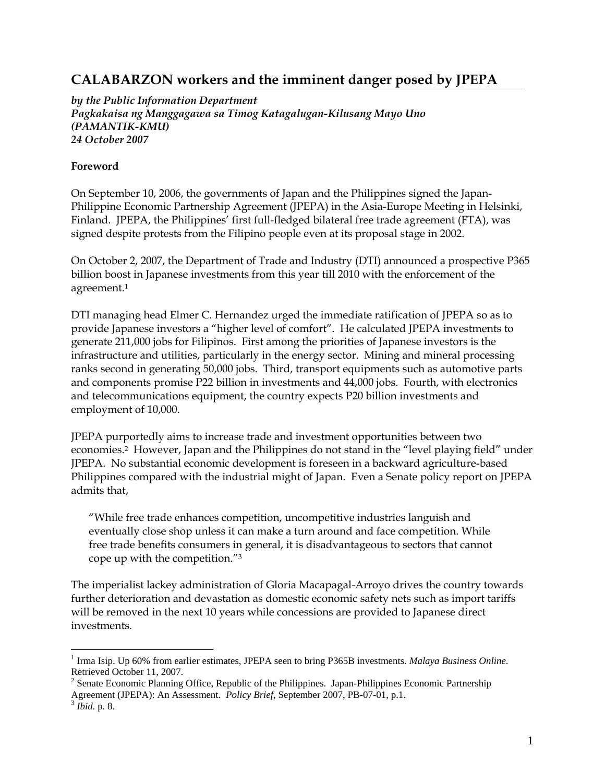# **CALABARZON workers and the imminent danger posed by JPEPA**

*by the Public Information Department Pagkakaisa ng Manggagawa sa Timog Katagalugan-Kilusang Mayo Uno (PAMANTIK-KMU) 24 October 2007* 

#### **Foreword**

On September 10, 2006, the governments of Japan and the Philippines signed the Japan-Philippine Economic Partnership Agreement (JPEPA) in the Asia-Europe Meeting in Helsinki, Finland. JPEPA, the Philippines' first full-fledged bilateral free trade agreement (FTA), was signed despite protests from the Filipino people even at its proposal stage in 2002.

On October 2, 2007, the Department of Trade and Industry (DTI) announced a prospective P365 billion boost in Japanese investments from this year till 2010 with the enforcement of the agreement.1

DTI managing head Elmer C. Hernandez urged the immediate ratification of JPEPA so as to provide Japanese investors a "higher level of comfort". He calculated JPEPA investments to generate 211,000 jobs for Filipinos. First among the priorities of Japanese investors is the infrastructure and utilities, particularly in the energy sector. Mining and mineral processing ranks second in generating 50,000 jobs. Third, transport equipments such as automotive parts and components promise P22 billion in investments and 44,000 jobs. Fourth, with electronics and telecommunications equipment, the country expects P20 billion investments and employment of 10,000.

JPEPA purportedly aims to increase trade and investment opportunities between two economies.2 However, Japan and the Philippines do not stand in the "level playing field" under JPEPA. No substantial economic development is foreseen in a backward agriculture-based Philippines compared with the industrial might of Japan. Even a Senate policy report on JPEPA admits that,

"While free trade enhances competition, uncompetitive industries languish and eventually close shop unless it can make a turn around and face competition. While free trade benefits consumers in general, it is disadvantageous to sectors that cannot cope up with the competition."3

The imperialist lackey administration of Gloria Macapagal-Arroyo drives the country towards further deterioration and devastation as domestic economic safety nets such as import tariffs will be removed in the next 10 years while concessions are provided to Japanese direct investments.

<sup>&</sup>lt;sup>1</sup> Irma Isip. Up 60% from earlier estimates, JPEPA seen to bring P365B investments. *Malaya Business Online*. Retrieved October 11, 2007.

<sup>&</sup>lt;sup>2</sup> Senate Economic Planning Office, Republic of the Philippines. Japan-Philippines Economic Partnership Agreement (JPEPA): An Assessment. *Policy Brief,* September 2007, PB-07-01, p.1. 3 *Ibid.* p. 8.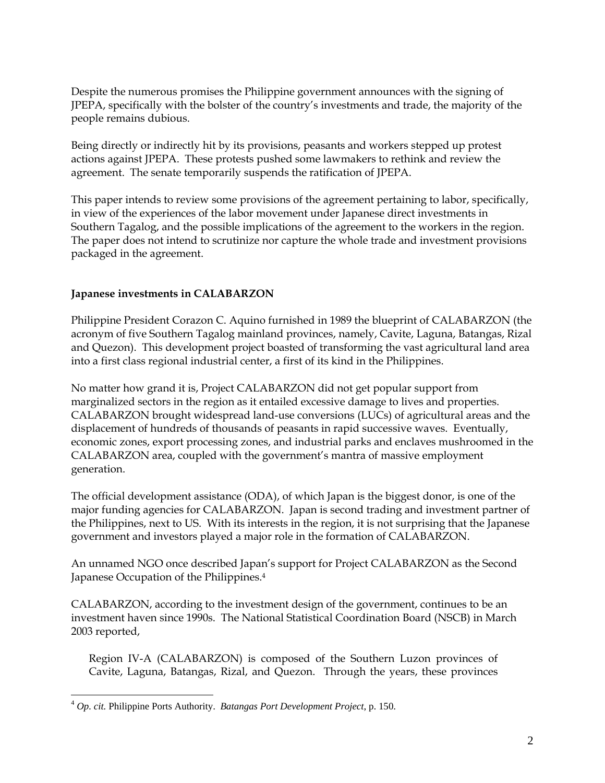Despite the numerous promises the Philippine government announces with the signing of JPEPA, specifically with the bolster of the country's investments and trade, the majority of the people remains dubious.

Being directly or indirectly hit by its provisions, peasants and workers stepped up protest actions against JPEPA. These protests pushed some lawmakers to rethink and review the agreement. The senate temporarily suspends the ratification of JPEPA.

This paper intends to review some provisions of the agreement pertaining to labor, specifically, in view of the experiences of the labor movement under Japanese direct investments in Southern Tagalog, and the possible implications of the agreement to the workers in the region. The paper does not intend to scrutinize nor capture the whole trade and investment provisions packaged in the agreement.

# **Japanese investments in CALABARZON**

Philippine President Corazon C. Aquino furnished in 1989 the blueprint of CALABARZON (the acronym of five Southern Tagalog mainland provinces, namely, Cavite, Laguna, Batangas, Rizal and Quezon). This development project boasted of transforming the vast agricultural land area into a first class regional industrial center, a first of its kind in the Philippines.

No matter how grand it is, Project CALABARZON did not get popular support from marginalized sectors in the region as it entailed excessive damage to lives and properties. CALABARZON brought widespread land-use conversions (LUCs) of agricultural areas and the displacement of hundreds of thousands of peasants in rapid successive waves. Eventually, economic zones, export processing zones, and industrial parks and enclaves mushroomed in the CALABARZON area, coupled with the government's mantra of massive employment generation.

The official development assistance (ODA), of which Japan is the biggest donor, is one of the major funding agencies for CALABARZON. Japan is second trading and investment partner of the Philippines, next to US. With its interests in the region, it is not surprising that the Japanese government and investors played a major role in the formation of CALABARZON.

An unnamed NGO once described Japan's support for Project CALABARZON as the Second Japanese Occupation of the Philippines.4

CALABARZON, according to the investment design of the government, continues to be an investment haven since 1990s. The National Statistical Coordination Board (NSCB) in March 2003 reported,

Region IV-A (CALABARZON) is composed of the Southern Luzon provinces of Cavite, Laguna, Batangas, Rizal, and Quezon. Through the years, these provinces

<sup>4</sup> *Op. cit.* Philippine Ports Authority. *Batangas Port Development Project*, p. 150.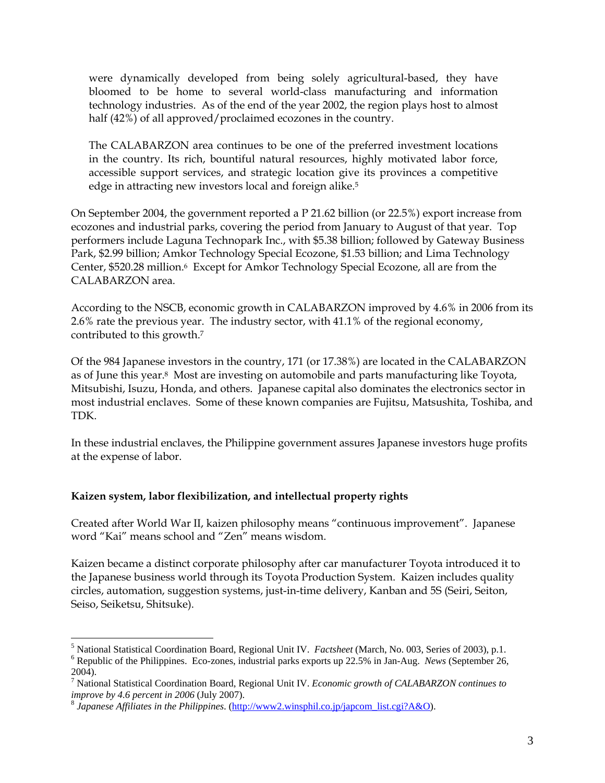were dynamically developed from being solely agricultural-based, they have bloomed to be home to several world-class manufacturing and information technology industries. As of the end of the year 2002, the region plays host to almost half (42%) of all approved/proclaimed ecozones in the country.

The CALABARZON area continues to be one of the preferred investment locations in the country. Its rich, bountiful natural resources, highly motivated labor force, accessible support services, and strategic location give its provinces a competitive edge in attracting new investors local and foreign alike.<sup>5</sup>

On September 2004, the government reported a P 21.62 billion (or 22.5%) export increase from ecozones and industrial parks, covering the period from January to August of that year. Top performers include Laguna Technopark Inc., with \$5.38 billion; followed by Gateway Business Park, \$2.99 billion; Amkor Technology Special Ecozone, \$1.53 billion; and Lima Technology Center, \$520.28 million.<sup>6</sup> Except for Amkor Technology Special Ecozone, all are from the CALABARZON area.

According to the NSCB, economic growth in CALABARZON improved by 4.6% in 2006 from its 2.6% rate the previous year. The industry sector, with 41.1% of the regional economy, contributed to this growth.7

Of the 984 Japanese investors in the country, 171 (or 17.38%) are located in the CALABARZON as of June this year.8 Most are investing on automobile and parts manufacturing like Toyota, Mitsubishi, Isuzu, Honda, and others. Japanese capital also dominates the electronics sector in most industrial enclaves. Some of these known companies are Fujitsu, Matsushita, Toshiba, and TDK.

In these industrial enclaves, the Philippine government assures Japanese investors huge profits at the expense of labor.

## **Kaizen system, labor flexibilization, and intellectual property rights**

Created after World War II, kaizen philosophy means "continuous improvement". Japanese word "Kai" means school and "Zen" means wisdom.

Kaizen became a distinct corporate philosophy after car manufacturer Toyota introduced it to the Japanese business world through its Toyota Production System. Kaizen includes quality circles, automation, suggestion systems, just-in-time delivery, Kanban and 5S (Seiri, Seiton, Seiso, Seiketsu, Shitsuke).

 $\overline{a}$ <sup>5</sup> National Statistical Coordination Board, Regional Unit IV. *Factsheet* (March, No. 003, Series of 2003), p.1. <sup>6</sup> Boarblic of the Philippines. Fee zones, industriel perks amonts up 22.5% in Jan. Aug. *Naws (September*

Republic of the Philippines. Eco-zones, industrial parks exports up 22.5% in Jan-Aug. *News* (September 26,

<sup>2004).</sup>  7 National Statistical Coordination Board, Regional Unit IV. *Economic growth of CALABARZON continues to* 

*improve by 4.6 percent in 2006* (July 2007).<br><sup>8</sup> Japanese Affiliates in the Philippines. (http://www2.winsphil.co.jp/japcom\_list.cgi?A&O).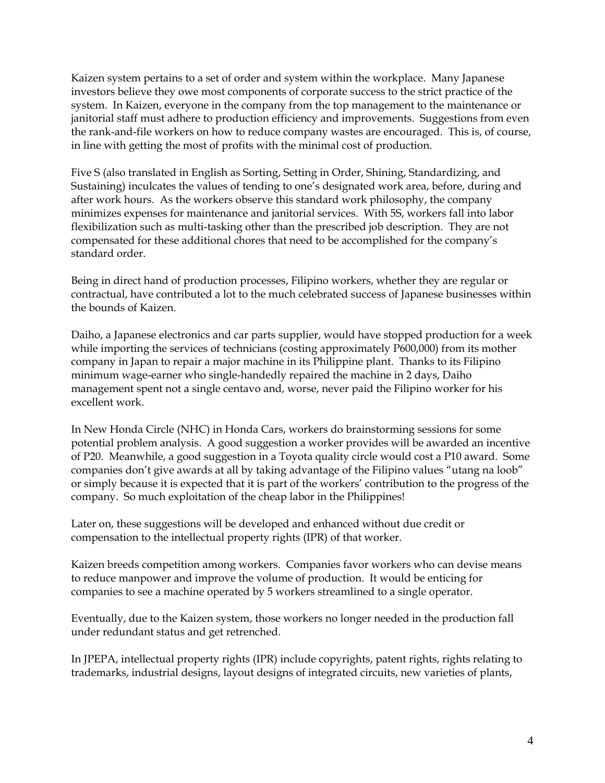Kaizen system pertains to a set of order and system within the workplace. Many Japanese investors believe they owe most components of corporate success to the strict practice of the system. In Kaizen, everyone in the company from the top management to the maintenance or janitorial staff must adhere to production efficiency and improvements. Suggestions from even the rank-and-file workers on how to reduce company wastes are encouraged. This is, of course, in line with getting the most of profits with the minimal cost of production.

Five S (also translated in English as Sorting, Setting in Order, Shining, Standardizing, and Sustaining) inculcates the values of tending to one's designated work area, before, during and after work hours. As the workers observe this standard work philosophy, the company minimizes expenses for maintenance and janitorial services. With 5S, workers fall into labor flexibilization such as multi-tasking other than the prescribed job description. They are not compensated for these additional chores that need to be accomplished for the company's standard order.

Being in direct hand of production processes, Filipino workers, whether they are regular or contractual, have contributed a lot to the much celebrated success of Japanese businesses within the bounds of Kaizen.

Daiho, a Japanese electronics and car parts supplier, would have stopped production for a week while importing the services of technicians (costing approximately P600,000) from its mother company in Japan to repair a major machine in its Philippine plant. Thanks to its Filipino minimum wage-earner who single-handedly repaired the machine in 2 days, Daiho management spent not a single centavo and, worse, never paid the Filipino worker for his excellent work.

In New Honda Circle (NHC) in Honda Cars, workers do brainstorming sessions for some potential problem analysis. A good suggestion a worker provides will be awarded an incentive of P20. Meanwhile, a good suggestion in a Toyota quality circle would cost a P10 award. Some companies don't give awards at all by taking advantage of the Filipino values "utang na loob" or simply because it is expected that it is part of the workers' contribution to the progress of the company. So much exploitation of the cheap labor in the Philippines!

Later on, these suggestions will be developed and enhanced without due credit or compensation to the intellectual property rights (IPR) of that worker.

Kaizen breeds competition among workers. Companies favor workers who can devise means to reduce manpower and improve the volume of production. It would be enticing for companies to see a machine operated by 5 workers streamlined to a single operator.

Eventually, due to the Kaizen system, those workers no longer needed in the production fall under redundant status and get retrenched.

In JPEPA, intellectual property rights (IPR) include copyrights, patent rights, rights relating to trademarks, industrial designs, layout designs of integrated circuits, new varieties of plants,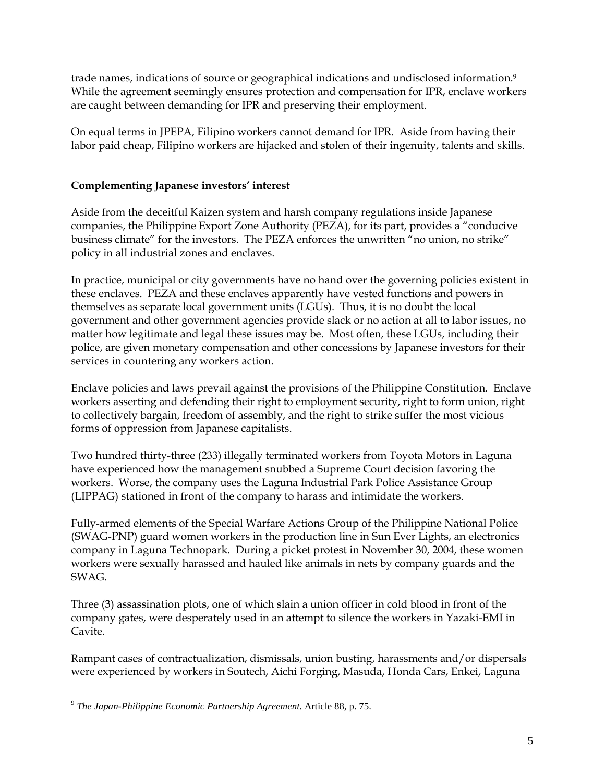trade names, indications of source or geographical indications and undisclosed information.<sup>9</sup> While the agreement seemingly ensures protection and compensation for IPR, enclave workers are caught between demanding for IPR and preserving their employment.

On equal terms in JPEPA, Filipino workers cannot demand for IPR. Aside from having their labor paid cheap, Filipino workers are hijacked and stolen of their ingenuity, talents and skills.

# **Complementing Japanese investors' interest**

Aside from the deceitful Kaizen system and harsh company regulations inside Japanese companies, the Philippine Export Zone Authority (PEZA), for its part, provides a "conducive business climate" for the investors. The PEZA enforces the unwritten "no union, no strike" policy in all industrial zones and enclaves.

In practice, municipal or city governments have no hand over the governing policies existent in these enclaves. PEZA and these enclaves apparently have vested functions and powers in themselves as separate local government units (LGUs). Thus, it is no doubt the local government and other government agencies provide slack or no action at all to labor issues, no matter how legitimate and legal these issues may be. Most often, these LGUs, including their police, are given monetary compensation and other concessions by Japanese investors for their services in countering any workers action.

Enclave policies and laws prevail against the provisions of the Philippine Constitution. Enclave workers asserting and defending their right to employment security, right to form union, right to collectively bargain, freedom of assembly, and the right to strike suffer the most vicious forms of oppression from Japanese capitalists.

Two hundred thirty-three (233) illegally terminated workers from Toyota Motors in Laguna have experienced how the management snubbed a Supreme Court decision favoring the workers. Worse, the company uses the Laguna Industrial Park Police Assistance Group (LIPPAG) stationed in front of the company to harass and intimidate the workers.

Fully-armed elements of the Special Warfare Actions Group of the Philippine National Police (SWAG-PNP) guard women workers in the production line in Sun Ever Lights, an electronics company in Laguna Technopark. During a picket protest in November 30, 2004, these women workers were sexually harassed and hauled like animals in nets by company guards and the SWAG.

Three (3) assassination plots, one of which slain a union officer in cold blood in front of the company gates, were desperately used in an attempt to silence the workers in Yazaki-EMI in Cavite.

Rampant cases of contractualization, dismissals, union busting, harassments and/or dispersals were experienced by workers in Soutech, Aichi Forging, Masuda, Honda Cars, Enkei, Laguna

<sup>9</sup> *The Japan-Philippine Economic Partnership Agreement*. Article 88*,* p. 75.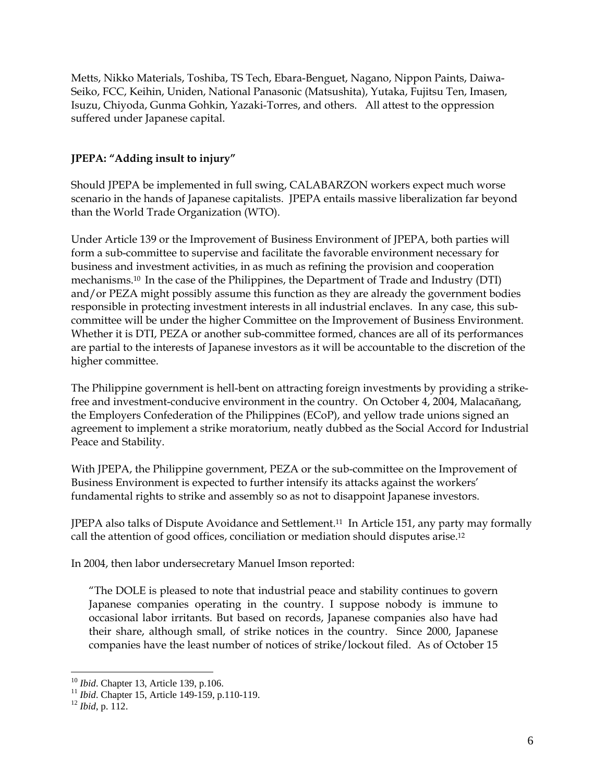Metts, Nikko Materials, Toshiba, TS Tech, Ebara-Benguet, Nagano, Nippon Paints, Daiwa-Seiko, FCC, Keihin, Uniden, National Panasonic (Matsushita), Yutaka, Fujitsu Ten, Imasen, Isuzu, Chiyoda, Gunma Gohkin, Yazaki-Torres, and others. All attest to the oppression suffered under Japanese capital.

# **JPEPA: "Adding insult to injury"**

Should JPEPA be implemented in full swing, CALABARZON workers expect much worse scenario in the hands of Japanese capitalists. JPEPA entails massive liberalization far beyond than the World Trade Organization (WTO).

Under Article 139 or the Improvement of Business Environment of JPEPA, both parties will form a sub-committee to supervise and facilitate the favorable environment necessary for business and investment activities, in as much as refining the provision and cooperation mechanisms.10 In the case of the Philippines, the Department of Trade and Industry (DTI) and/or PEZA might possibly assume this function as they are already the government bodies responsible in protecting investment interests in all industrial enclaves. In any case, this subcommittee will be under the higher Committee on the Improvement of Business Environment. Whether it is DTI, PEZA or another sub-committee formed, chances are all of its performances are partial to the interests of Japanese investors as it will be accountable to the discretion of the higher committee.

The Philippine government is hell-bent on attracting foreign investments by providing a strikefree and investment-conducive environment in the country. On October 4, 2004, Malacañang, the Employers Confederation of the Philippines (ECoP), and yellow trade unions signed an agreement to implement a strike moratorium, neatly dubbed as the Social Accord for Industrial Peace and Stability.

With JPEPA, the Philippine government, PEZA or the sub-committee on the Improvement of Business Environment is expected to further intensify its attacks against the workers' fundamental rights to strike and assembly so as not to disappoint Japanese investors.

JPEPA also talks of Dispute Avoidance and Settlement.11 In Article 151, any party may formally call the attention of good offices, conciliation or mediation should disputes arise.12

In 2004, then labor undersecretary Manuel Imson reported:

"The DOLE is pleased to note that industrial peace and stability continues to govern Japanese companies operating in the country. I suppose nobody is immune to occasional labor irritants. But based on records, Japanese companies also have had their share, although small, of strike notices in the country. Since 2000, Japanese companies have the least number of notices of strike/lockout filed. As of October 15

<sup>&</sup>lt;sup>10</sup> *Ibid*. Chapter 13, Article 139, p.106.<br><sup>11</sup> *Ibid*. Chapter 15, Article 149-159, p.110-119.<br><sup>12</sup> *Ibid*, p. 112.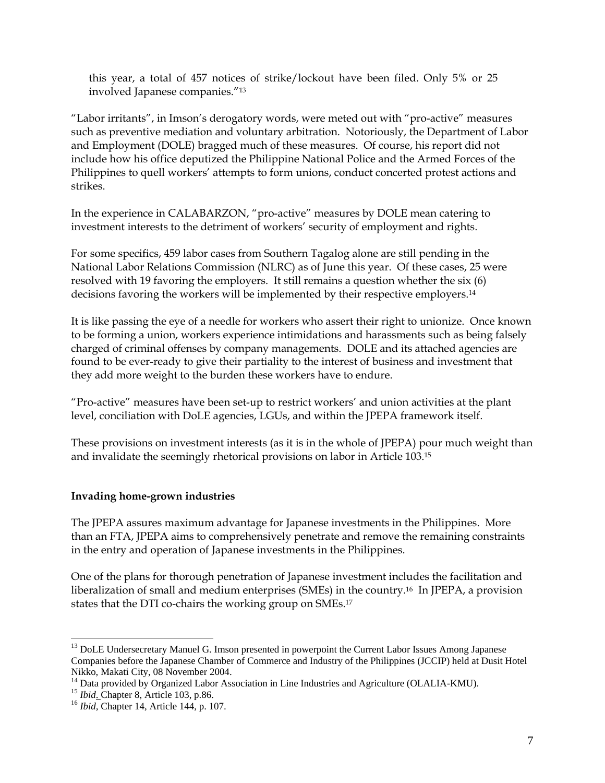this year, a total of 457 notices of strike/lockout have been filed. Only 5% or 25 involved Japanese companies."13

"Labor irritants", in Imson's derogatory words, were meted out with "pro-active" measures such as preventive mediation and voluntary arbitration. Notoriously, the Department of Labor and Employment (DOLE) bragged much of these measures. Of course, his report did not include how his office deputized the Philippine National Police and the Armed Forces of the Philippines to quell workers' attempts to form unions, conduct concerted protest actions and strikes.

In the experience in CALABARZON, "pro-active" measures by DOLE mean catering to investment interests to the detriment of workers' security of employment and rights.

For some specifics, 459 labor cases from Southern Tagalog alone are still pending in the National Labor Relations Commission (NLRC) as of June this year. Of these cases, 25 were resolved with 19 favoring the employers. It still remains a question whether the six (6) decisions favoring the workers will be implemented by their respective employers.14

It is like passing the eye of a needle for workers who assert their right to unionize. Once known to be forming a union, workers experience intimidations and harassments such as being falsely charged of criminal offenses by company managements. DOLE and its attached agencies are found to be ever-ready to give their partiality to the interest of business and investment that they add more weight to the burden these workers have to endure.

"Pro-active" measures have been set-up to restrict workers' and union activities at the plant level, conciliation with DoLE agencies, LGUs, and within the JPEPA framework itself.

These provisions on investment interests (as it is in the whole of JPEPA) pour much weight than and invalidate the seemingly rhetorical provisions on labor in Article 103.15

# **Invading home-grown industries**

The JPEPA assures maximum advantage for Japanese investments in the Philippines. More than an FTA, JPEPA aims to comprehensively penetrate and remove the remaining constraints in the entry and operation of Japanese investments in the Philippines.

One of the plans for thorough penetration of Japanese investment includes the facilitation and liberalization of small and medium enterprises (SMEs) in the country.16 In JPEPA, a provision states that the DTI co-chairs the working group on SMEs.17

<sup>&</sup>lt;sup>13</sup> DoLE Undersecretary Manuel G. Imson presented in powerpoint the Current Labor Issues Among Japanese Companies before the Japanese Chamber of Commerce and Industry of the Philippines (JCCIP) held at Dusit Hotel Nikko, Makati City, 08 November 2004.

<sup>&</sup>lt;sup>14</sup> Data provided by Organized Labor Association in Line Industries and Agriculture (OLALIA-KMU).<br><sup>15</sup> *Ibid*. Chapter 8, Article 103, p.86.

<sup>&</sup>lt;sup>16</sup> *Ibid*, Chapter 14, Article 144, p. 107.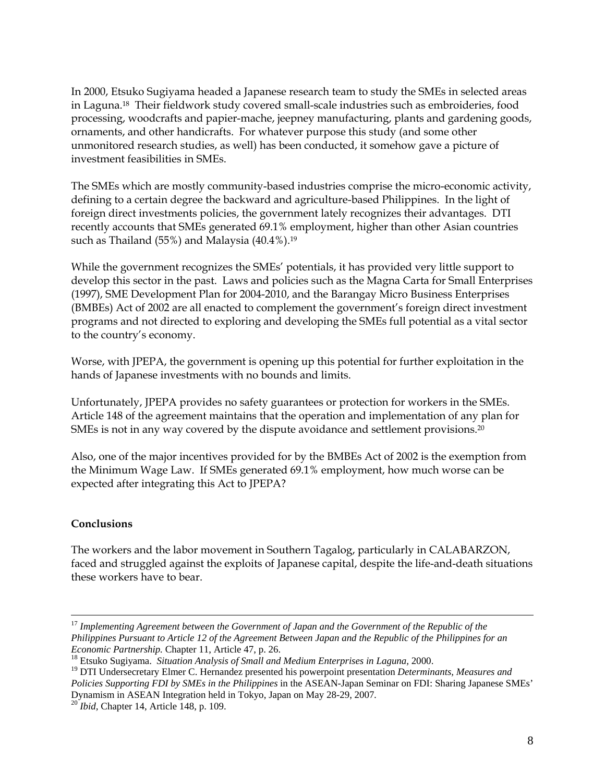In 2000, Etsuko Sugiyama headed a Japanese research team to study the SMEs in selected areas in Laguna.18 Their fieldwork study covered small-scale industries such as embroideries, food processing, woodcrafts and papier-mache, jeepney manufacturing, plants and gardening goods, ornaments, and other handicrafts. For whatever purpose this study (and some other unmonitored research studies, as well) has been conducted, it somehow gave a picture of investment feasibilities in SMEs.

The SMEs which are mostly community-based industries comprise the micro-economic activity, defining to a certain degree the backward and agriculture-based Philippines. In the light of foreign direct investments policies, the government lately recognizes their advantages. DTI recently accounts that SMEs generated 69.1% employment, higher than other Asian countries such as Thailand (55%) and Malaysia (40.4%).19

While the government recognizes the SMEs' potentials, it has provided very little support to develop this sector in the past. Laws and policies such as the Magna Carta for Small Enterprises (1997), SME Development Plan for 2004-2010, and the Barangay Micro Business Enterprises (BMBEs) Act of 2002 are all enacted to complement the government's foreign direct investment programs and not directed to exploring and developing the SMEs full potential as a vital sector to the country's economy.

Worse, with JPEPA, the government is opening up this potential for further exploitation in the hands of Japanese investments with no bounds and limits.

Unfortunately, JPEPA provides no safety guarantees or protection for workers in the SMEs. Article 148 of the agreement maintains that the operation and implementation of any plan for SMEs is not in any way covered by the dispute avoidance and settlement provisions.<sup>20</sup>

Also, one of the major incentives provided for by the BMBEs Act of 2002 is the exemption from the Minimum Wage Law. If SMEs generated 69.1% employment, how much worse can be expected after integrating this Act to JPEPA?

## **Conclusions**

The workers and the labor movement in Southern Tagalog, particularly in CALABARZON, faced and struggled against the exploits of Japanese capital, despite the life-and-death situations these workers have to bear.

 <sup>17</sup> *Implementing Agreement between the Government of Japan and the Government of the Republic of the Philippines Pursuant to Article 12 of the Agreement Between Japan and the Republic of the Philippines for an Economic Partnership.* Chapter 11, Article 47, p. 26.<br><sup>18</sup> Etsuko Sugiyama. *Situation Analysis of Small and Medium Enterprises in Laguna,* 2000.

<sup>19</sup> DTI Undersecretary Elmer C. Hernandez presented his powerpoint presentation *Determinants, Measures and Policies Supporting FDI by SMEs in the Philippines* in the ASEAN-Japan Seminar on FDI: Sharing Japanese SMEs' Dynamism in ASEAN Integration held in Tokyo, Japan on May 28-29, 2007*.* <sup>20</sup> *Ibid,* Chapter 14, Article 148, p. 109.